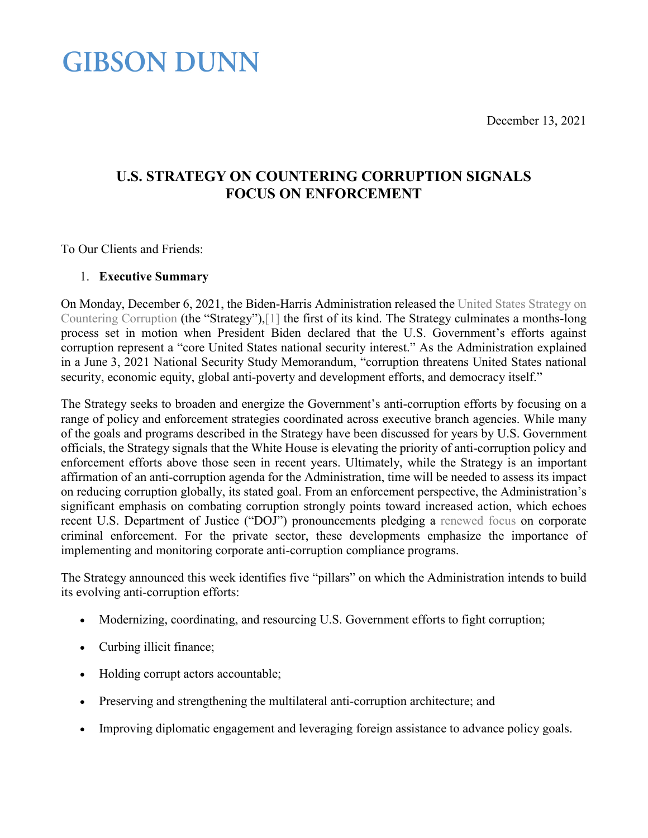December 13, 2021

# **GIBSON DUNN**

## **U.S. STRATEGY ON COUNTERING CORRUPTION SIGNALS FOCUS ON ENFORCEMENT**

To Our Clients and Friends:

## 1. **Executive Summary**

On Monday, December 6, 2021, the Biden-Harris Administration released the [United States Strategy on](https://www.whitehouse.gov/wp-content/uploads/2021/12/United-States-Strategy-on-Countering-Corruption.pdf)  [Countering Corruption](https://www.whitehouse.gov/wp-content/uploads/2021/12/United-States-Strategy-on-Countering-Corruption.pdf) (the "Strategy")[,\[1\]](#page-7-0) the first of its kind. The Strategy culminates a months-long process set in motion when President Biden declared that the U.S. Government's efforts against corruption represent a "core United States national security interest." As the Administration explained in a June 3, 2021 National Security Study Memorandum, "corruption threatens United States national security, economic equity, global anti-poverty and development efforts, and democracy itself."

The Strategy seeks to broaden and energize the Government's anti-corruption efforts by focusing on a range of policy and enforcement strategies coordinated across executive branch agencies. While many of the goals and programs described in the Strategy have been discussed for years by U.S. Government officials, the Strategy signals that the White House is elevating the priority of anti-corruption policy and enforcement efforts above those seen in recent years. Ultimately, while the Strategy is an important affirmation of an anti-corruption agenda for the Administration, time will be needed to assess its impact on reducing corruption globally, its stated goal. From an enforcement perspective, the Administration's significant emphasis on combating corruption strongly points toward increased action, which echoes recent U.S. Department of Justice ("DOJ") pronouncements pledging a [renewed focus](https://www.justice.gov/opa/speech/deputy-attorney-general-lisa-o-monaco-gives-keynote-address-abas-36th-national-institute) on corporate criminal enforcement. For the private sector, these developments emphasize the importance of implementing and monitoring corporate anti-corruption compliance programs.

The Strategy announced this week identifies five "pillars" on which the Administration intends to build its evolving anti-corruption efforts:

- Modernizing, coordinating, and resourcing U.S. Government efforts to fight corruption;
- Curbing illicit finance;
- Holding corrupt actors accountable;
- Preserving and strengthening the multilateral anti-corruption architecture; and
- Improving diplomatic engagement and leveraging foreign assistance to advance policy goals.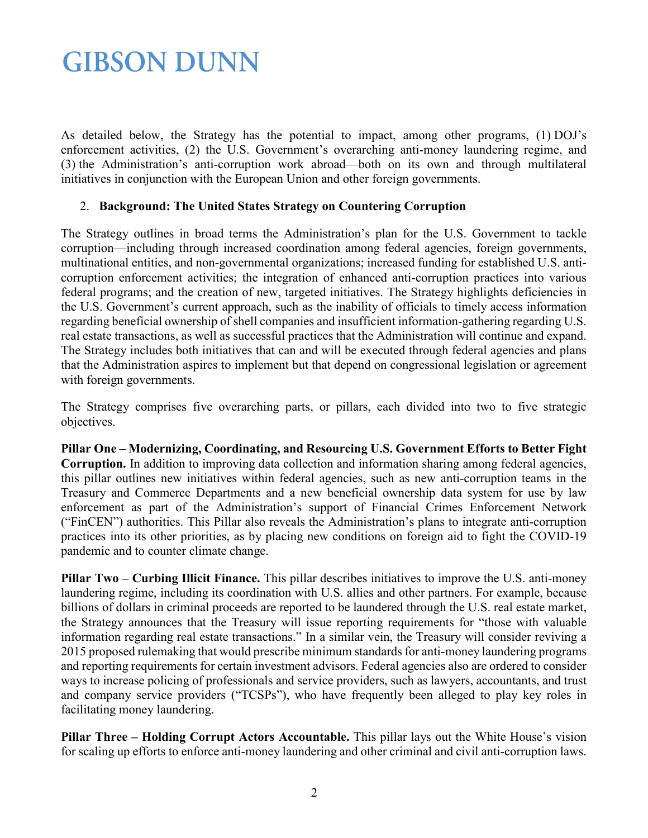As detailed below, the Strategy has the potential to impact, among other programs, (1) DOJ's enforcement activities, (2) the U.S. Government's overarching anti-money laundering regime, and (3) the Administration's anti-corruption work abroad—both on its own and through multilateral initiatives in conjunction with the European Union and other foreign governments.

### 2. **Background: The United States Strategy on Countering Corruption**

The Strategy outlines in broad terms the Administration's plan for the U.S. Government to tackle corruption—including through increased coordination among federal agencies, foreign governments, multinational entities, and non-governmental organizations; increased funding for established U.S. anticorruption enforcement activities; the integration of enhanced anti-corruption practices into various federal programs; and the creation of new, targeted initiatives. The Strategy highlights deficiencies in the U.S. Government's current approach, such as the inability of officials to timely access information regarding beneficial ownership of shell companies and insufficient information-gathering regarding U.S. real estate transactions, as well as successful practices that the Administration will continue and expand. The Strategy includes both initiatives that can and will be executed through federal agencies and plans that the Administration aspires to implement but that depend on congressional legislation or agreement with foreign governments.

The Strategy comprises five overarching parts, or pillars, each divided into two to five strategic objectives.

**Pillar One – Modernizing, Coordinating, and Resourcing U.S. Government Efforts to Better Fight Corruption.** In addition to improving data collection and information sharing among federal agencies, this pillar outlines new initiatives within federal agencies, such as new anti-corruption teams in the Treasury and Commerce Departments and a new beneficial ownership data system for use by law enforcement as part of the Administration's support of Financial Crimes Enforcement Network ("FinCEN") authorities. This Pillar also reveals the Administration's plans to integrate anti-corruption practices into its other priorities, as by placing new conditions on foreign aid to fight the COVID-19 pandemic and to counter climate change.

**Pillar Two – Curbing Illicit Finance.** This pillar describes initiatives to improve the U.S. anti-money laundering regime, including its coordination with U.S. allies and other partners. For example, because billions of dollars in criminal proceeds are reported to be laundered through the U.S. real estate market, the Strategy announces that the Treasury will issue reporting requirements for "those with valuable information regarding real estate transactions." In a similar vein, the Treasury will consider reviving a 2015 proposed rulemaking that would prescribe minimum standards for anti-money laundering programs and reporting requirements for certain investment advisors. Federal agencies also are ordered to consider ways to increase policing of professionals and service providers, such as lawyers, accountants, and trust and company service providers ("TCSPs"), who have frequently been alleged to play key roles in facilitating money laundering.

**Pillar Three – Holding Corrupt Actors Accountable.** This pillar lays out the White House's vision for scaling up efforts to enforce anti-money laundering and other criminal and civil anti-corruption laws.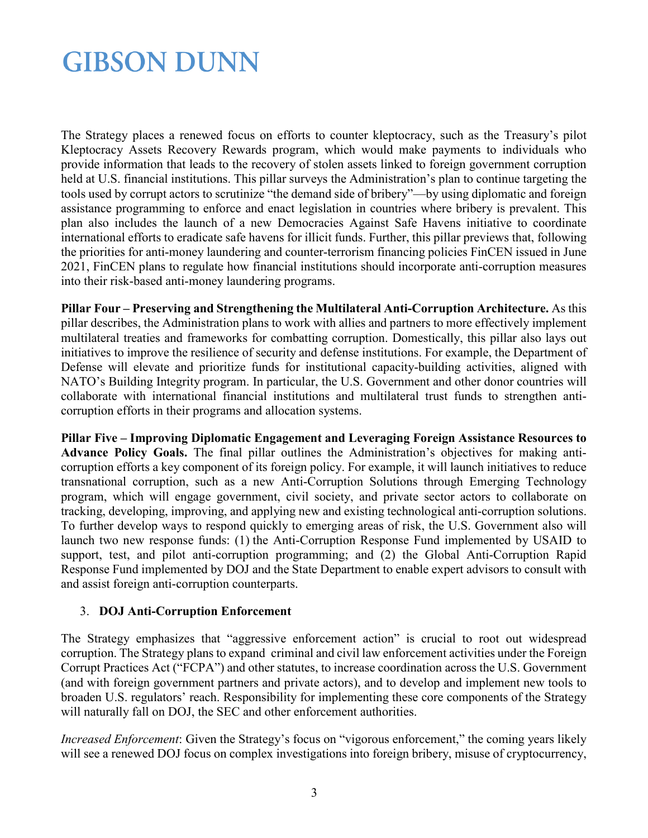The Strategy places a renewed focus on efforts to counter kleptocracy, such as the Treasury's pilot Kleptocracy Assets Recovery Rewards program, which would make payments to individuals who provide information that leads to the recovery of stolen assets linked to foreign government corruption held at U.S. financial institutions. This pillar surveys the Administration's plan to continue targeting the tools used by corrupt actors to scrutinize "the demand side of bribery"—by using diplomatic and foreign assistance programming to enforce and enact legislation in countries where bribery is prevalent. This plan also includes the launch of a new Democracies Against Safe Havens initiative to coordinate international efforts to eradicate safe havens for illicit funds. Further, this pillar previews that, following the priorities for anti-money laundering and counter-terrorism financing policies FinCEN issued in June 2021, FinCEN plans to regulate how financial institutions should incorporate anti-corruption measures into their risk-based anti-money laundering programs.

**Pillar Four – Preserving and Strengthening the Multilateral Anti-Corruption Architecture.** As this pillar describes, the Administration plans to work with allies and partners to more effectively implement multilateral treaties and frameworks for combatting corruption. Domestically, this pillar also lays out initiatives to improve the resilience of security and defense institutions. For example, the Department of Defense will elevate and prioritize funds for institutional capacity-building activities, aligned with NATO's Building Integrity program. In particular, the U.S. Government and other donor countries will collaborate with international financial institutions and multilateral trust funds to strengthen anticorruption efforts in their programs and allocation systems.

**Pillar Five – Improving Diplomatic Engagement and Leveraging Foreign Assistance Resources to Advance Policy Goals.** The final pillar outlines the Administration's objectives for making anticorruption efforts a key component of its foreign policy. For example, it will launch initiatives to reduce transnational corruption, such as a new Anti-Corruption Solutions through Emerging Technology program, which will engage government, civil society, and private sector actors to collaborate on tracking, developing, improving, and applying new and existing technological anti-corruption solutions. To further develop ways to respond quickly to emerging areas of risk, the U.S. Government also will launch two new response funds: (1) the Anti-Corruption Response Fund implemented by USAID to support, test, and pilot anti-corruption programming; and (2) the Global Anti-Corruption Rapid Response Fund implemented by DOJ and the State Department to enable expert advisors to consult with and assist foreign anti-corruption counterparts.

## 3. **DOJ Anti-Corruption Enforcement**

The Strategy emphasizes that "aggressive enforcement action" is crucial to root out widespread corruption. The Strategy plans to expand criminal and civil law enforcement activities under the Foreign Corrupt Practices Act ("FCPA") and other statutes, to increase coordination across the U.S. Government (and with foreign government partners and private actors), and to develop and implement new tools to broaden U.S. regulators' reach. Responsibility for implementing these core components of the Strategy will naturally fall on DOJ, the SEC and other enforcement authorities.

*Increased Enforcement*: Given the Strategy's focus on "vigorous enforcement," the coming years likely will see a renewed DOJ focus on complex investigations into foreign bribery, misuse of cryptocurrency,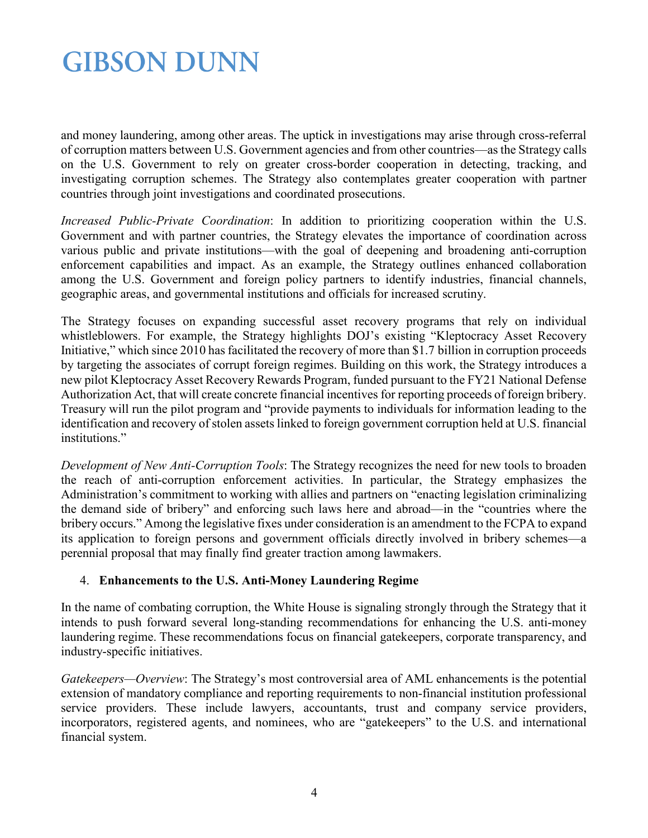and money laundering, among other areas. The uptick in investigations may arise through cross-referral of corruption matters between U.S. Government agencies and from other countries—as the Strategy calls on the U.S. Government to rely on greater cross-border cooperation in detecting, tracking, and investigating corruption schemes. The Strategy also contemplates greater cooperation with partner countries through joint investigations and coordinated prosecutions.

*Increased Public-Private Coordination*: In addition to prioritizing cooperation within the U.S. Government and with partner countries, the Strategy elevates the importance of coordination across various public and private institutions—with the goal of deepening and broadening anti-corruption enforcement capabilities and impact. As an example, the Strategy outlines enhanced collaboration among the U.S. Government and foreign policy partners to identify industries, financial channels, geographic areas, and governmental institutions and officials for increased scrutiny.

The Strategy focuses on expanding successful asset recovery programs that rely on individual whistleblowers. For example, the Strategy highlights DOJ's existing "Kleptocracy Asset Recovery Initiative," which since 2010 has facilitated the recovery of more than \$1.7 billion in corruption proceeds by targeting the associates of corrupt foreign regimes. Building on this work, the Strategy introduces a new pilot Kleptocracy Asset Recovery Rewards Program, funded pursuant to the FY21 National Defense Authorization Act, that will create concrete financial incentives for reporting proceeds of foreign bribery. Treasury will run the pilot program and "provide payments to individuals for information leading to the identification and recovery of stolen assets linked to foreign government corruption held at U.S. financial institutions."

*Development of New Anti-Corruption Tools*: The Strategy recognizes the need for new tools to broaden the reach of anti-corruption enforcement activities. In particular, the Strategy emphasizes the Administration's commitment to working with allies and partners on "enacting legislation criminalizing the demand side of bribery" and enforcing such laws here and abroad—in the "countries where the bribery occurs." Among the legislative fixes under consideration is an amendment to the FCPA to expand its application to foreign persons and government officials directly involved in bribery schemes—a perennial proposal that may finally find greater traction among lawmakers.

## 4. **Enhancements to the U.S. Anti-Money Laundering Regime**

In the name of combating corruption, the White House is signaling strongly through the Strategy that it intends to push forward several long-standing recommendations for enhancing the U.S. anti-money laundering regime. These recommendations focus on financial gatekeepers, corporate transparency, and industry-specific initiatives.

*Gatekeepers—Overview*: The Strategy's most controversial area of AML enhancements is the potential extension of mandatory compliance and reporting requirements to non-financial institution professional service providers. These include lawyers, accountants, trust and company service providers, incorporators, registered agents, and nominees, who are "gatekeepers" to the U.S. and international financial system.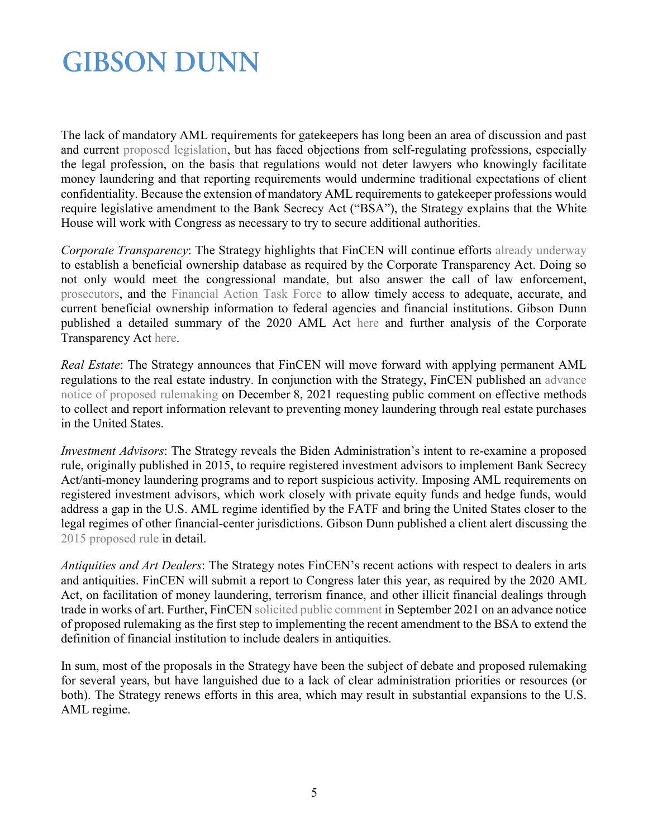The lack of mandatory AML requirements for gatekeepers has long been an area of discussion and past and current [proposed legislation,](https://www.acc.com/sites/default/files/resources/vl/membersonly/Article/1484877_1.pdf) but has faced objections from self-regulating professions, especially the legal profession, on the basis that regulations would not deter lawyers who knowingly facilitate money laundering and that reporting requirements would undermine traditional expectations of client confidentiality. Because the extension of mandatory AML requirements to gatekeeper professions would require legislative amendment to the Bank Secrecy Act ("BSA"), the Strategy explains that the White House will work with Congress as necessary to try to secure additional authorities.

*Corporate Transparency*: The Strategy highlights that FinCEN will continue efforts [already underway](https://www.fincen.gov/news/news-releases/fincen-issues-proposed-rule-beneficial-ownership-reporting-counter-illicit) to establish a beneficial ownership database as required by the Corporate Transparency Act. Doing so not only would meet the congressional mandate, but also answer the call of law enforcement, [prosecutors,](https://www.banking.senate.gov/imo/media/doc/Day%20Testimony%201-17-18.pdf) and the [Financial Action Task Force](https://www.fatf-gafi.org/publications/mutualevaluations/documents/mer-united-states-2016.html) to allow timely access to adequate, accurate, and current beneficial ownership information to federal agencies and financial institutions. Gibson Dunn published a detailed summary of the 2020 AML Act [here](https://www.gibsondunn.com/the-top-10-takeaways-for-financial-institutions-from-the-anti-money-laundering-act-of-2020/) and further analysis of the Corporate Transparency Act [here.](https://www.gibsondunn.com/wp-content/uploads/2021/05/Brooker-Day-Chapter-1-The-Anti-Money-Laundering-Act-of-2020s-Corporate-Transparency-Act-Anti-Money-Laundering-2021-ICLG-05-25-2021.pdf)

*Real Estate*: The Strategy announces that FinCEN will move forward with applying permanent AML regulations to the real estate industry. In conjunction with the Strategy, FinCEN published an [advance](https://www.federalregister.gov/documents/2021/12/08/2021-26549/anti-money-laundering-regulations-for-real-estate-transactions)  [notice of proposed rulemaking](https://www.federalregister.gov/documents/2021/12/08/2021-26549/anti-money-laundering-regulations-for-real-estate-transactions) on December 8, 2021 requesting public comment on effective methods to collect and report information relevant to preventing money laundering through real estate purchases in the United States.

*Investment Advisors*: The Strategy reveals the Biden Administration's intent to re-examine a proposed rule, originally published in 2015, to require registered investment advisors to implement Bank Secrecy Act/anti-money laundering programs and to report suspicious activity. Imposing AML requirements on registered investment advisors, which work closely with private equity funds and hedge funds, would address a gap in the U.S. AML regime identified by the FATF and bring the United States closer to the legal regimes of other financial-center jurisdictions. Gibson Dunn published a client alert discussing the [2015 proposed rule](https://www.gibsondunn.com/fincen-proposes-regulations-that-would-require-aml-programs-and-suspicious-activity-reporting-for-sec-registered-investment-advisers/) in detail.

*Antiquities and Art Dealers*: The Strategy notes FinCEN's recent actions with respect to dealers in arts and antiquities. FinCEN will submit a report to Congress later this year, as required by the 2020 AML Act, on facilitation of money laundering, terrorism finance, and other illicit financial dealings through trade in works of art. Further, FinCEN [solicited public comment](https://www.fincen.gov/news/news-releases/fincen-launches-regulatory-process-new-antiquities-regulations) in September 2021 on an advance notice of proposed rulemaking as the first step to implementing the recent amendment to the BSA to extend the definition of financial institution to include dealers in antiquities.

In sum, most of the proposals in the Strategy have been the subject of debate and proposed rulemaking for several years, but have languished due to a lack of clear administration priorities or resources (or both). The Strategy renews efforts in this area, which may result in substantial expansions to the U.S. AML regime.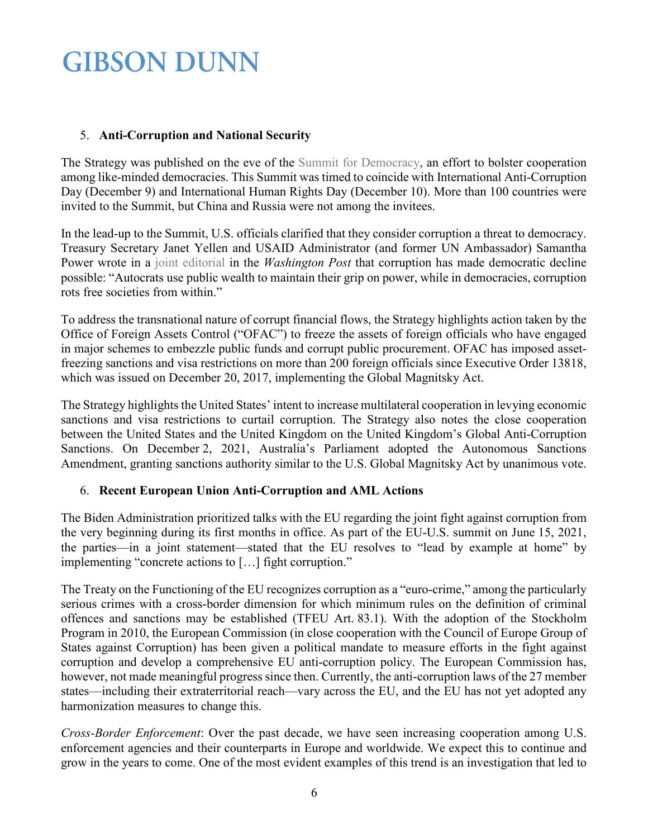## 5. **Anti-Corruption and National Security**

The Strategy was published on the eve of the [Summit for Democracy,](https://www.state.gov/participant-list-the-summit-for-democracy) an effort to bolster cooperation among like-minded democracies. This Summit was timed to coincide with International Anti-Corruption Day (December 9) and International Human Rights Day (December 10). More than 100 countries were invited to the Summit, but China and Russia were not among the invitees.

In the lead-up to the Summit, U.S. officials clarified that they consider corruption a threat to democracy. Treasury Secretary Janet Yellen and USAID Administrator (and former UN Ambassador) Samantha Power wrote in a [joint editorial](https://www.washingtonpost.com/opinions/2021/12/06/janet-yellen-samantha-power-democracy-fight-global-corruption) in the *Washington Post* that corruption has made democratic decline possible: "Autocrats use public wealth to maintain their grip on power, while in democracies, corruption rots free societies from within."

To address the transnational nature of corrupt financial flows, the Strategy highlights action taken by the Office of Foreign Assets Control ("OFAC") to freeze the assets of foreign officials who have engaged in major schemes to embezzle public funds and corrupt public procurement. OFAC has imposed assetfreezing sanctions and visa restrictions on more than 200 foreign officials since Executive Order 13818, which was issued on December 20, 2017, implementing the Global Magnitsky Act.

The Strategy highlights the United States' intent to increase multilateral cooperation in levying economic sanctions and visa restrictions to curtail corruption. The Strategy also notes the close cooperation between the United States and the United Kingdom on the United Kingdom's Global Anti-Corruption Sanctions. On December 2, 2021, Australia's Parliament adopted the Autonomous Sanctions Amendment, granting sanctions authority similar to the U.S. Global Magnitsky Act by unanimous vote.

## 6. **Recent European Union Anti-Corruption and AML Actions**

The Biden Administration prioritized talks with the EU regarding the joint fight against corruption from the very beginning during its first months in office. As part of the EU-U.S. summit on June 15, 2021, the parties—in a joint statement—stated that the EU resolves to "lead by example at home" by implementing "concrete actions to […] fight corruption."

The Treaty on the Functioning of the EU recognizes corruption as a "euro-crime," among the particularly serious crimes with a cross-border dimension for which minimum rules on the definition of criminal offences and sanctions may be established (TFEU Art. 83.1). With the adoption of the Stockholm Program in 2010, the European Commission (in close cooperation with the Council of Europe Group of States against Corruption) has been given a political mandate to measure efforts in the fight against corruption and develop a comprehensive EU anti-corruption policy. The European Commission has, however, not made meaningful progress since then. Currently, the anti-corruption laws of the 27 member states—including their extraterritorial reach—vary across the EU, and the EU has not yet adopted any harmonization measures to change this.

*Cross-Border Enforcement*: Over the past decade, we have seen increasing cooperation among U.S. enforcement agencies and their counterparts in Europe and worldwide. We expect this to continue and grow in the years to come. One of the most evident examples of this trend is an investigation that led to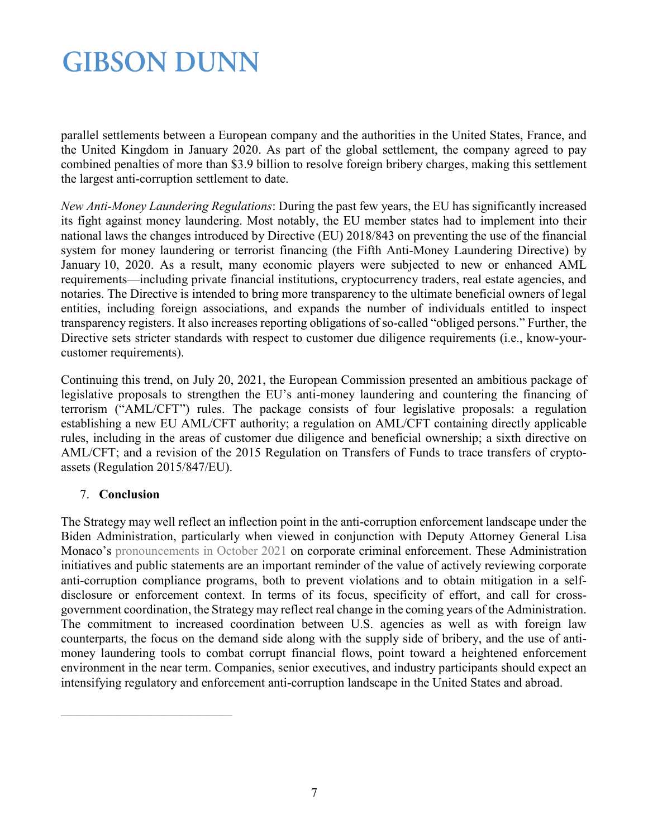parallel settlements between a European company and the authorities in the United States, France, and the United Kingdom in January 2020. As part of the global settlement, the company agreed to pay combined penalties of more than \$3.9 billion to resolve foreign bribery charges, making this settlement the largest anti-corruption settlement to date.

*New Anti-Money Laundering Regulations*: During the past few years, the EU has significantly increased its fight against money laundering. Most notably, the EU member states had to implement into their national laws the changes introduced by Directive (EU) 2018/843 on preventing the use of the financial system for money laundering or terrorist financing (the Fifth Anti-Money Laundering Directive) by January 10, 2020. As a result, many economic players were subjected to new or enhanced AML requirements—including private financial institutions, cryptocurrency traders, real estate agencies, and notaries. The Directive is intended to bring more transparency to the ultimate beneficial owners of legal entities, including foreign associations, and expands the number of individuals entitled to inspect transparency registers. It also increases reporting obligations of so-called "obliged persons." Further, the Directive sets stricter standards with respect to customer due diligence requirements (i.e., know-yourcustomer requirements).

Continuing this trend, on July 20, 2021, the European Commission presented an ambitious package of legislative proposals to strengthen the EU's anti-money laundering and countering the financing of terrorism ("AML/CFT") rules. The package consists of four legislative proposals: a regulation establishing a new EU AML/CFT authority; a regulation on AML/CFT containing directly applicable rules, including in the areas of customer due diligence and beneficial ownership; a sixth directive on AML/CFT; and a revision of the 2015 Regulation on Transfers of Funds to trace transfers of cryptoassets (Regulation 2015/847/EU).

## 7. **Conclusion**

The Strategy may well reflect an inflection point in the anti-corruption enforcement landscape under the Biden Administration, particularly when viewed in conjunction with Deputy Attorney General Lisa Monaco's [pronouncements in October 2021](https://www.gibsondunn.com/deputy-attorney-general-announces-important-changes-to-doj-corporate-criminal-enforcement-policies/) on corporate criminal enforcement. These Administration initiatives and public statements are an important reminder of the value of actively reviewing corporate anti-corruption compliance programs, both to prevent violations and to obtain mitigation in a selfdisclosure or enforcement context. In terms of its focus, specificity of effort, and call for crossgovernment coordination, the Strategy may reflect real change in the coming years of the Administration. The commitment to increased coordination between U.S. agencies as well as with foreign law counterparts, the focus on the demand side along with the supply side of bribery, and the use of antimoney laundering tools to combat corrupt financial flows, point toward a heightened enforcement environment in the near term. Companies, senior executives, and industry participants should expect an intensifying regulatory and enforcement anti-corruption landscape in the United States and abroad.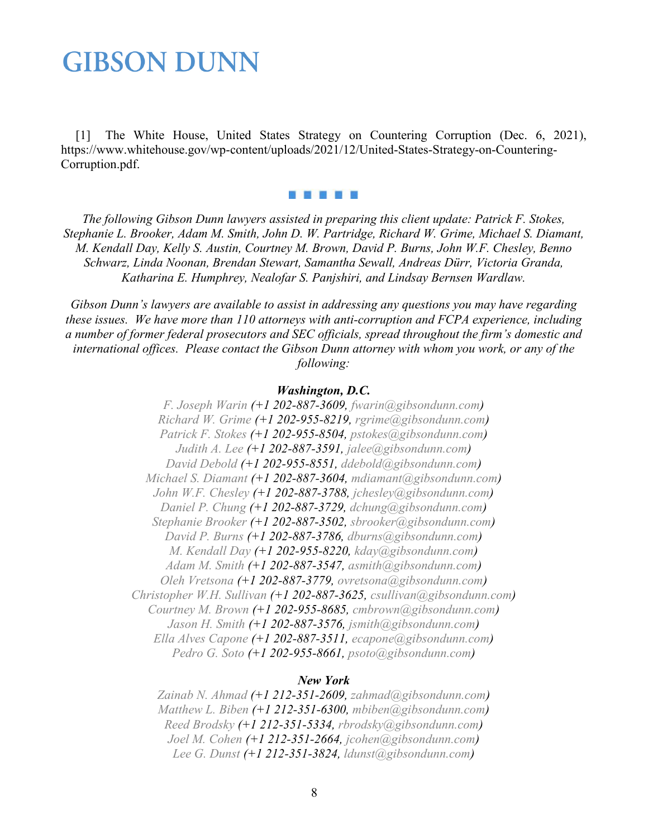<span id="page-7-0"></span>[1] The White House, United States Strategy on Countering Corruption (Dec. 6, 2021), https://www.whitehouse.gov/wp-content/uploads/2021/12/United-States-Strategy-on-Countering-Corruption.pdf.

5 F 6 T 8

*The following Gibson Dunn lawyers assisted in preparing this client update: Patrick F. Stokes, Stephanie L. Brooker, Adam M. Smith, John D. W. Partridge, Richard W. Grime, Michael S. Diamant, M. Kendall Day, Kelly S. Austin, Courtney M. Brown, David P. Burns, John W.F. Chesley, Benno Schwarz, Linda Noonan, Brendan Stewart, Samantha Sewall, Andreas Dürr, Victoria Granda, Katharina E. Humphrey, Nealofar S. Panjshiri, and Lindsay Bernsen Wardlaw.*

*Gibson Dunn's lawyers are available to assist in addressing any questions you may have regarding these issues. We have more than 110 attorneys with anti-corruption and FCPA experience, including a number of former federal prosecutors and SEC officials, spread throughout the firm's domestic and international offices. Please contact the Gibson Dunn attorney with whom you work, or any of the following:*

### *Washington, D.C.*

*[F. Joseph Warin](https://www.gibsondunn.com/lawyer/warin-f-joseph/) (+1 202-887-3609, [fwarin@gibsondunn.com\)](mailto:fwarin@gibsondunn.com) [Richard W. Grime](https://www.gibsondunn.com/lawyer/grime-richard-w/) (+1 202-955-8219, [rgrime@gibsondunn.com\)](mailto:rgrime@gibsondunn.com) [Patrick F. Stokes](https://www.gibsondunn.com/lawyer/stokes-patrick-f/) (+1 202-955-8504, [pstokes@gibsondunn.com\)](mailto:pstokes@gibsondunn.com) [Judith A. Lee](https://www.gibsondunn.com/lawyer/lee-judith-alison/) (+1 202-887-3591, [jalee@gibsondunn.com\)](mailto:jalee@gibsondunn.com) [David Debold](https://www.gibsondunn.com/lawyer/debold-david/) (+1 202-955-8551, [ddebold@gibsondunn.com\)](mailto:ddebold@gibsondunn.com) [Michael S. Diamant](https://www.gibsondunn.com/lawyer/diamant-michael/) (+1 202-887-3604, [mdiamant@gibsondunn.com\)](mailto:mdiamant@gibsondunn.com) [John W.F. Chesley](https://www.gibsondunn.com/lawyer/chesley-john-w-f/) (+1 202-887-3788, [jchesley@gibsondunn.com\)](mailto:jchesley@gibsondunn.com) [Daniel P. Chung](https://www.gibsondunn.com/lawyer/chung-daniel-p/) (+1 202-887-3729, [dchung@gibsondunn.com\)](mailto:dchung@gibsondunn.com) [Stephanie Brooker](https://www.gibsondunn.com/lawyer/brooker-stephanie/) (+1 202-887-3502, [sbrooker@gibsondunn.com\)](mailto:sbrooker@gibsondunn.com) [David P. Burns](https://www.gibsondunn.com/lawyer/burns-david-p/) (+1 202-887-3786, [dburns@gibsondunn.com\)](mailto:dburns@gibsondunn.com) [M. Kendall Day](https://www.gibsondunn.com/lawyer/day-m-kendall/) (+1 202-955-8220, [kday@gibsondunn.com\)](mailto:kday@gibsondunn.com) [Adam M. Smith](https://www.gibsondunn.com/lawyer/smith-adam-m/) (+1 202-887-3547, [asmith@gibsondunn.com\)](mailto:asmith@gibsondunn.com) [Oleh Vretsona](https://www.gibsondunn.com/lawyer/vretsona-oleh/) (+1 202-887-3779, [ovretsona@gibsondunn.com\)](mailto:ovretsona@gibsondunn.com) [Christopher W.H. Sullivan](https://www.gibsondunn.com/lawyer/sullivan-christopher-w-h/) (+1 202-887-3625, [csullivan@gibsondunn.com\)](mailto:csullivan@gibsondunn.com) [Courtney M. Brown](https://www.gibsondunn.com/lawyer/brown-courtney-m/) (+1 202-955-8685, [cmbrown@gibsondunn.com\)](mailto:cmbrown@gibsondunn.com) [Jason H. Smith](https://www.gibsondunn.com/lawyer/smith-jason-h/) (+1 202-887-3576, [jsmith@gibsondunn.com\)](mailto:jsmith@gibsondunn.com) [Ella Alves Capone](https://www.gibsondunn.com/lawyer/capone-ella-alves/) (+1 202-887-3511, [ecapone@gibsondunn.com\)](mailto:ecapone@gibsondunn.com) [Pedro G. Soto](https://www.gibsondunn.com/lawyer/soto-pedro-g/) (+1 202-955-8661, [psoto@gibsondunn.com\)](mailto:psoto@gibsondunn.com)*

### *New York*

*[Zainab N. Ahmad](https://www.gibsondunn.com/lawyer/ahmad-zainab-n/) (+1 212-351-2609, [zahmad@gibsondunn.com\)](mailto:zahmad@gibsondunn.com) [Matthew L. Biben](https://www.gibsondunn.com/lawyer/biben-matthew-l/) (+1 212-351-6300, [mbiben@gibsondunn.com\)](mailto:mbiben@gibsondunn.com) [Reed Brodsky](https://www.gibsondunn.com/lawyer/brodsky-reed/) (+1 212-351-5334, [rbrodsky@gibsondunn.com\)](mailto:rbrodsky@gibsondunn.com) [Joel M. Cohen](https://www.gibsondunn.com/lawyer/cohen-joel-m/) (+1 212-351-2664, [jcohen@gibsondunn.com\)](mailto:jcohen@gibsondunn.com) [Lee G. Dunst](https://www.gibsondunn.com/lawyer/dunst-lee-g/) (+1 212-351-3824, [ldunst@gibsondunn.com\)](mailto:ldunst@gibsondunn.com)*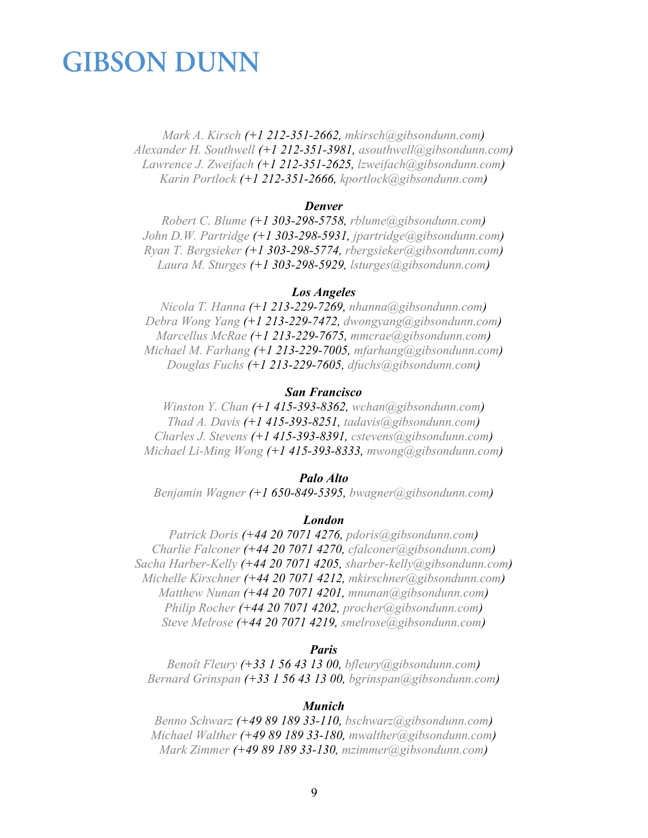*[Mark A. Kirsch](https://www.gibsondunn.com/lawyer/kirsch-mark-a/) (+1 212-351-2662, [mkirsch@gibsondunn.com\)](mailto:mkirsch@gibsondunn.com) [Alexander H. Southwell](https://www.gibsondunn.com/lawyer/southwell-alexander-h/) (+1 212-351-3981, [asouthwell@gibsondunn.com\)](mailto:asouthwell@gibsondunn.com) [Lawrence J. Zweifach](https://www.gibsondunn.com/lawyer/zweifach-lawrence-j/) (+1 212-351-2625, [lzweifach@gibsondunn.com\)](mailto:lzweifach@gibsondunn.com) [Karin Portlock](https://www.gibsondunn.com/lawyer/portlock-karin/) (+1 212-351-2666, [kportlock@gibsondunn.com\)](mailto:kportlock@gibsondunn.com)*

### *Denver*

*[Robert C. Blume](https://www.gibsondunn.com/lawyer/blume-robert-c/) (+1 303-298-5758, [rblume@gibsondunn.com\)](mailto:rblume@gibsondunn.com) [John D.W. Partridge](https://www.gibsondunn.com/lawyer/partridge-john-d-w/) (+1 303-298-5931, [jpartridge@gibsondunn.com\)](mailto:jpartridge@gibsondunn.com) [Ryan T. Bergsieker](https://www.gibsondunn.com/lawyer/bergsieker-ryan-t/) (+1 303-298-5774, [rbergsieker@gibsondunn.com\)](mailto:rbergsieker@gibsondunn.com) [Laura M. Sturges](https://www.gibsondunn.com/lawyer/sturges-laura/) (+1 303-298-5929, [lsturges@gibsondunn.com\)](mailto:lsturges@gibsondunn.com)*

### *Los Angeles*

*[Nicola T. Hanna](https://www.gibsondunn.com/lawyer/hanna-nicola-t/) (+1 213-229-7269, [nhanna@gibsondunn.com\)](mailto:nhanna@gibsondunn.com) [Debra Wong Yang](https://www.gibsondunn.com/lawyer/yang-debra-wong/) (+1 213-229-7472, [dwongyang@gibsondunn.com\)](mailto:dwongyang@gibsondunn.com) [Marcellus McRae](https://www.gibsondunn.com/lawyer/mcrae-marcellus/) (+1 213-229-7675, [mmcrae@gibsondunn.com\)](mailto:mmcrae@gibsondunn.com) [Michael M.](https://www.gibsondunn.com/lawyer/farhang-michael/) Farhang (+1 213-229-7005, [mfarhang@gibsondunn.com\)](mailto:mfarhang@gibsondunn.com) [Douglas Fuchs](https://www.gibsondunn.com/lawyer/fuchs-douglas/) (+1 213-229-7605, [dfuchs@gibsondunn.com\)](mailto:dfuchs@gibsondunn.com)*

### *San Francisco*

*[Winston Y. Chan](https://www.gibsondunn.com/lawyer/chan-winston-y/) (+1 415-393-8362, [wchan@gibsondunn.com\)](mailto:wchan@gibsondunn.com) [Thad A. Davis](https://www.gibsondunn.com/lawyer/davis-thad-a/) (+1 415-393-8251, [tadavis@gibsondunn.com\)](mailto:tadavis@gibsondunn.com) [Charles J. Stevens](https://www.gibsondunn.com/lawyer/stevens-charles-j/) (+1 415-393-8391, [cstevens@gibsondunn.com\)](mailto:cstevens@gibsondunn.com) [Michael Li-Ming Wong](https://www.gibsondunn.com/lawyer/wong-michael-li-ming/) (+1 415-393-8333, [mwong@gibsondunn.com\)](mailto:mwong@gibsondunn.com)*

### *Palo Alto*

*[Benjamin Wagner](https://www.gibsondunn.com/lawyer/wagner-benjamin/) (+1 650-849-5395, [bwagner@gibsondunn.com\)](mailto:bwagner@gibsondunn.com)*

### *London*

*[Patrick Doris](https://www.gibsondunn.com/lawyer/doris-patrick/) (+44 20 7071 4276, [pdoris@gibsondunn.com\)](mailto:pdoris@gibsondunn.com) [Charlie Falconer](https://www.gibsondunn.com/lawyer/falconer-charles/) (+44 20 7071 4270, [cfalconer@gibsondunn.com\)](mailto:cfalconer@gibsondunn.com) [Sacha Harber-Kelly](https://www.gibsondunn.com/lawyer/harber-kelly-sacha/) (+44 20 7071 4205, [sharber-kelly@gibsondunn.com\)](mailto:sharber-kelly@gibsondunn.com) [Michelle Kirschner](https://www.gibsondunn.com/lawyer/kirschner-michelle-m/) (+44 20 7071 4212, [mkirschner@gibsondunn.com\)](mailto:mkirschner@gibsondunn.com) [Matthew Nunan](https://www.gibsondunn.com/lawyer/nunan-matthew/) (+44 20 7071 4201, [mnunan@gibsondunn.com\)](mailto:mnunan@gibsondunn.com) [Philip Rocher](https://www.gibsondunn.com/lawyer/rocher-philip/) (+44 20 7071 4202, [procher@gibsondunn.com\)](mailto:procher@gibsondunn.com) [Steve Melrose](https://www.gibsondunn.com/lawyer/melrose-steve/) (+44 20 7071 4219, [smelrose@gibsondunn.com\)](mailto:smelrose@gibsondunn.com)*

#### *Paris*

*[Benoît Fleury](https://www.gibsondunn.com/lawyer/fleury-benoit/) (+33 1 56 43 13 00, [bfleury@gibsondunn.com\)](mailto:bfleury@gibsondunn.com) [Bernard Grinspan](https://www.gibsondunn.com/lawyer/grinspan-bernard/) (+33 1 56 43 13 00, [bgrinspan@gibsondunn.com\)](mailto:bgrinspan@gibsondunn.com)*

#### *Munich*

*[Benno Schwarz](https://www.gibsondunn.com/lawyer/schwarz-benno/) (+49 89 189 33-110, [bschwarz@gibsondunn.com\)](mailto:bschwarz@gibsondunn.com) [Michael Walther](https://www.gibsondunn.com/lawyer/walther-michael/) (+49 89 189 33-180, [mwalther@gibsondunn.com](mailto:mwalther@gibsondunn.com)[\)](https://www.gibsondunn.com/lawyer/zimmer-mark/) [Mark Zimmer](https://www.gibsondunn.com/lawyer/zimmer-mark/) (+49 89 189 33-130, [mzimmer@gibsondunn.com\)](mailto:mzimmer@gibsondunn.com)*